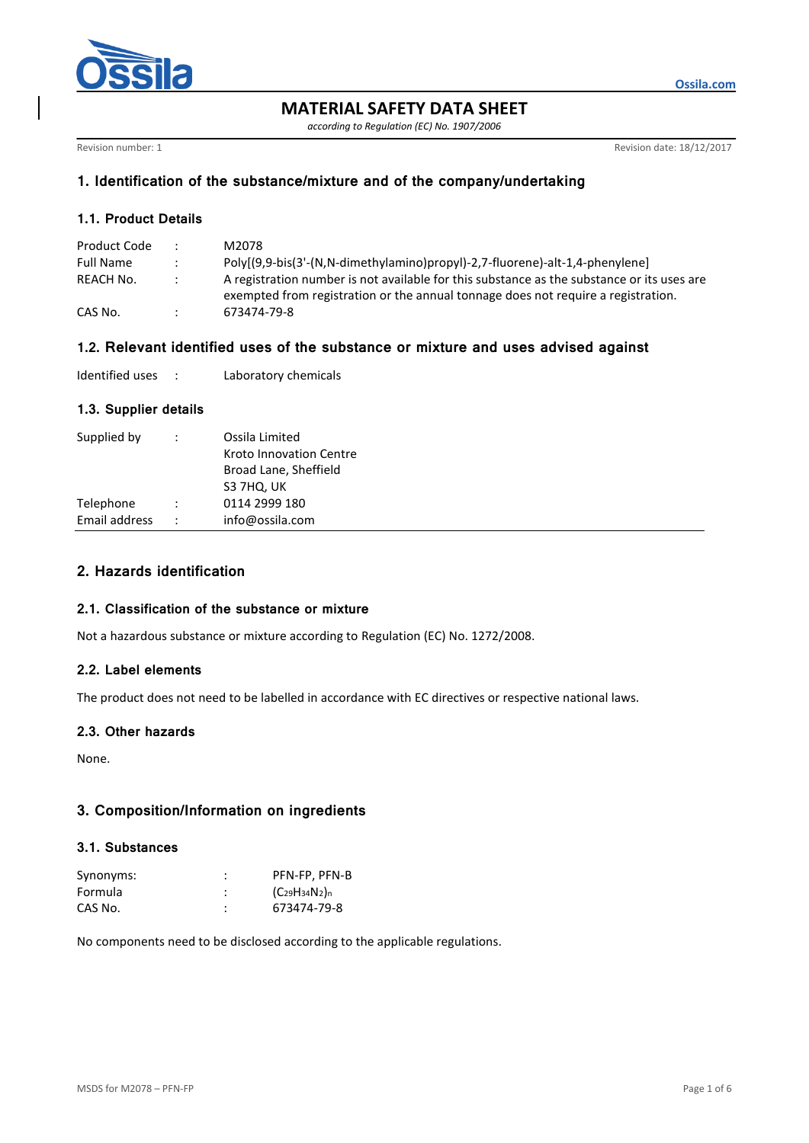

**MATERIAL SAFETY DATA SHEET**

*according to Regulation (EC) No. 1907/2006*

Revision number: 1 **Revision date: 18/12/2017** 

**Ossila.com**

# **1. Identification of the substance/mixture and of the company/undertaking**

## **1.1. Product Details**

| Product Code     |                      | M2078                                                                                      |
|------------------|----------------------|--------------------------------------------------------------------------------------------|
| <b>Full Name</b> |                      | Poly[(9,9-bis(3'-(N,N-dimethylamino)propyl)-2,7-fluorene)-alt-1,4-phenylene]               |
| REACH No.        | $\ddot{\phantom{0}}$ | A registration number is not available for this substance as the substance or its uses are |
|                  |                      | exempted from registration or the annual tonnage does not require a registration.          |
| CAS No.          |                      | 673474-79-8                                                                                |

# **1.2. Relevant identified uses of the substance or mixture and uses advised against**

| Identified uses |  | Laboratory chemicals |
|-----------------|--|----------------------|
|-----------------|--|----------------------|

### **1.3. Supplier details**

| Supplied by   | $\ddot{\phantom{0}}$ | Ossila Limited<br>Kroto Innovation Centre<br>Broad Lane, Sheffield<br>S3 7HQ, UK |
|---------------|----------------------|----------------------------------------------------------------------------------|
| Telephone     | $\ddot{\phantom{0}}$ | 0114 2999 180                                                                    |
| Email address | $\ddot{\phantom{0}}$ | info@ossila.com                                                                  |
|               |                      |                                                                                  |

# **2. Hazards identification**

### **2.1. Classification of the substance or mixture**

Not a hazardous substance or mixture according to Regulation (EC) No. 1272/2008.

### **2.2. Label elements**

The product does not need to be labelled in accordance with EC directives or respective national laws.

### **2.3. Other hazards**

None.

# **3. Composition/Information on ingredients**

### **3.1. Substances**

| Synonyms: | PFN-FP, PFN-B             |
|-----------|---------------------------|
| Formula   | $(C_{29}H_{34}N_{2})_{n}$ |
| CAS No.   | 673474-79-8               |

No components need to be disclosed according to the applicable regulations.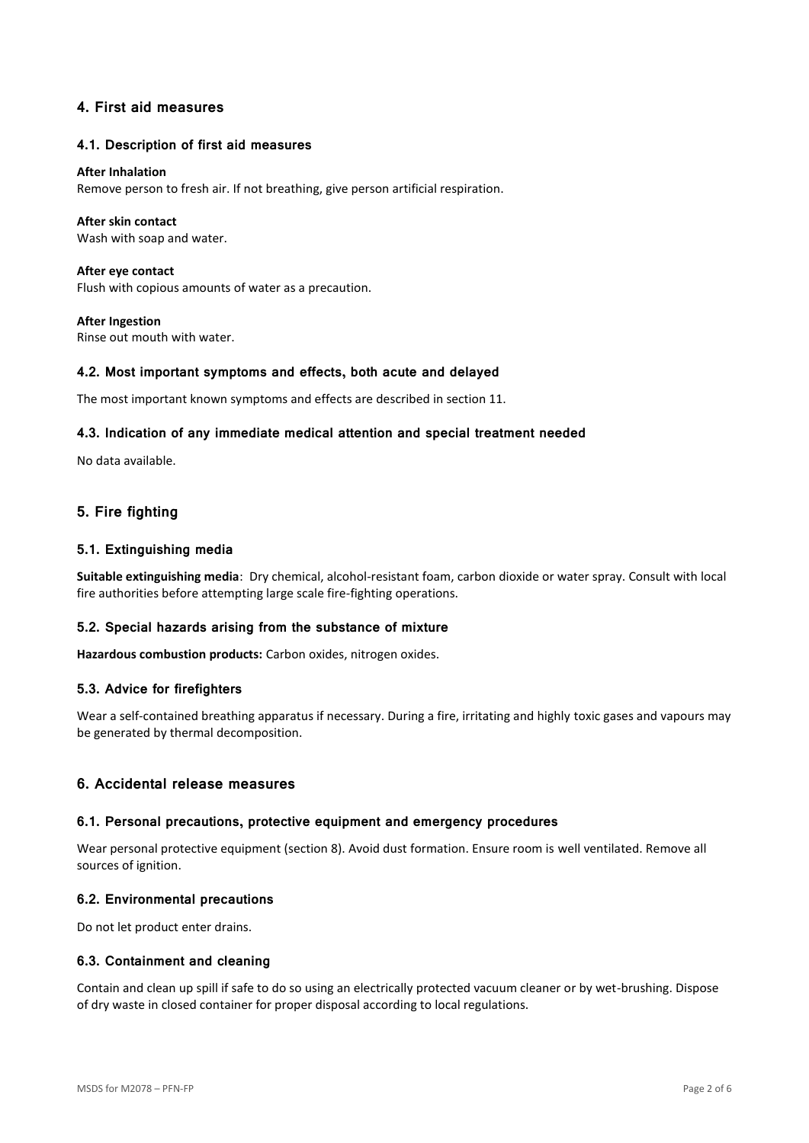## **4. First aid measures**

### **4.1. Description of first aid measures**

#### **After Inhalation**

Remove person to fresh air. If not breathing, give person artificial respiration.

### **After skin contact**

Wash with soap and water.

**After eye contact** Flush with copious amounts of water as a precaution.

**After Ingestion** Rinse out mouth with water.

#### **4.2. Most important symptoms and effects, both acute and delayed**

The most important known symptoms and effects are described in section 11.

#### **4.3. Indication of any immediate medical attention and special treatment needed**

No data available.

# **5. Fire fighting**

#### **5.1. Extinguishing media**

**Suitable extinguishing media**: Dry chemical, alcohol-resistant foam, carbon dioxide or water spray. Consult with local fire authorities before attempting large scale fire-fighting operations.

### **5.2. Special hazards arising from the substance of mixture**

**Hazardous combustion products:** Carbon oxides, nitrogen oxides.

#### **5.3. Advice for firefighters**

Wear a self-contained breathing apparatus if necessary. During a fire, irritating and highly toxic gases and vapours may be generated by thermal decomposition.

### **6. Accidental release measures**

#### **6.1. Personal precautions, protective equipment and emergency procedures**

Wear personal protective equipment (section 8). Avoid dust formation. Ensure room is well ventilated. Remove all sources of ignition.

#### **6.2. Environmental precautions**

Do not let product enter drains.

### **6.3. Containment and cleaning**

Contain and clean up spill if safe to do so using an electrically protected vacuum cleaner or by wet-brushing. Dispose of dry waste in closed container for proper disposal according to local regulations.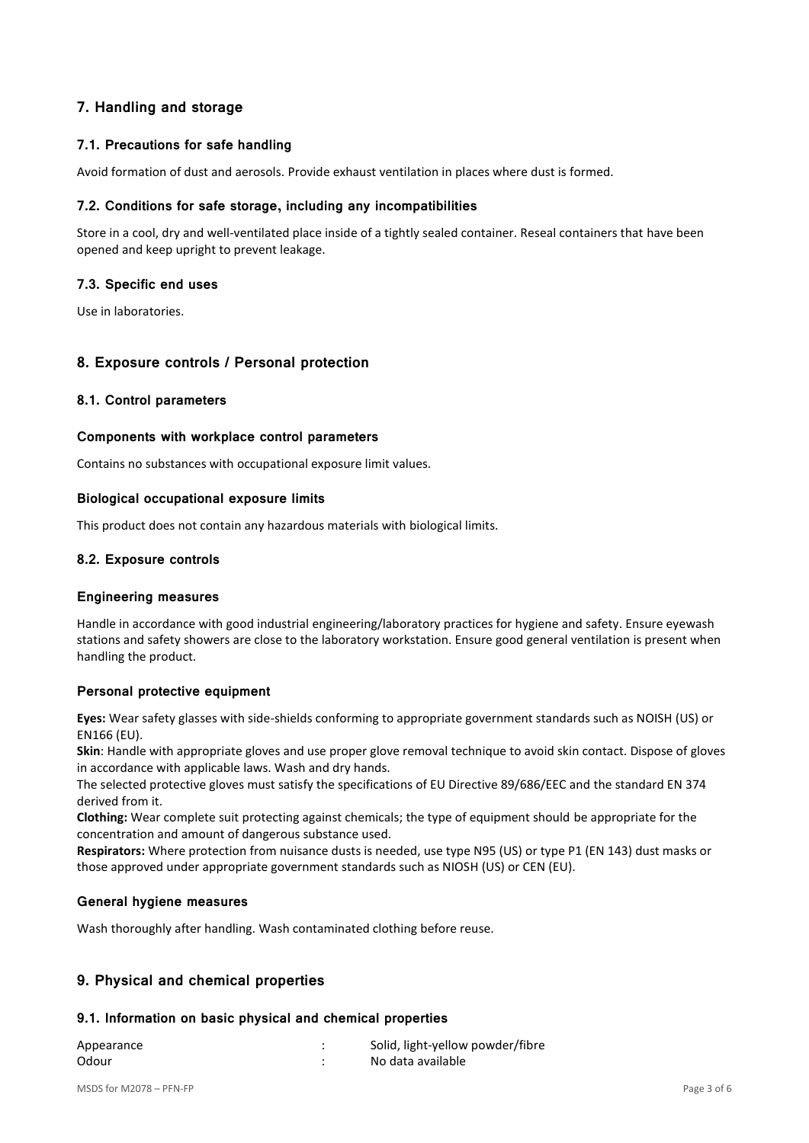# **7. Handling and storage**

## **7.1. Precautions for safe handling**

Avoid formation of dust and aerosols. Provide exhaust ventilation in places where dust is formed.

### **7.2. Conditions for safe storage, including any incompatibilities**

Store in a cool, dry and well-ventilated place inside of a tightly sealed container. Reseal containers that have been opened and keep upright to prevent leakage.

### **7.3. Specific end uses**

Use in laboratories.

### **8. Exposure controls / Personal protection**

### **8.1. Control parameters**

### **Components with workplace control parameters**

Contains no substances with occupational exposure limit values.

#### **Biological occupational exposure limits**

This product does not contain any hazardous materials with biological limits.

### **8.2. Exposure controls**

#### **Engineering measures**

Handle in accordance with good industrial engineering/laboratory practices for hygiene and safety. Ensure eyewash stations and safety showers are close to the laboratory workstation. Ensure good general ventilation is present when handling the product.

### **Personal protective equipment**

**Eyes:** Wear safety glasses with side-shields conforming to appropriate government standards such as NOISH (US) or EN166 (EU).

**Skin**: Handle with appropriate gloves and use proper glove removal technique to avoid skin contact. Dispose of gloves in accordance with applicable laws. Wash and dry hands.

The selected protective gloves must satisfy the specifications of EU Directive 89/686/EEC and the standard EN 374 derived from it.

**Clothing:** Wear complete suit protecting against chemicals; the type of equipment should be appropriate for the concentration and amount of dangerous substance used.

**Respirators:** Where protection from nuisance dusts is needed, use type N95 (US) or type P1 (EN 143) dust masks or those approved under appropriate government standards such as NIOSH (US) or CEN (EU).

### **General hygiene measures**

Wash thoroughly after handling. Wash contaminated clothing before reuse.

# **9. Physical and chemical properties**

#### **9.1. Information on basic physical and chemical properties**

| Appearance | Solid, light-yellow powder/fibre |
|------------|----------------------------------|
| Odour      | No data available                |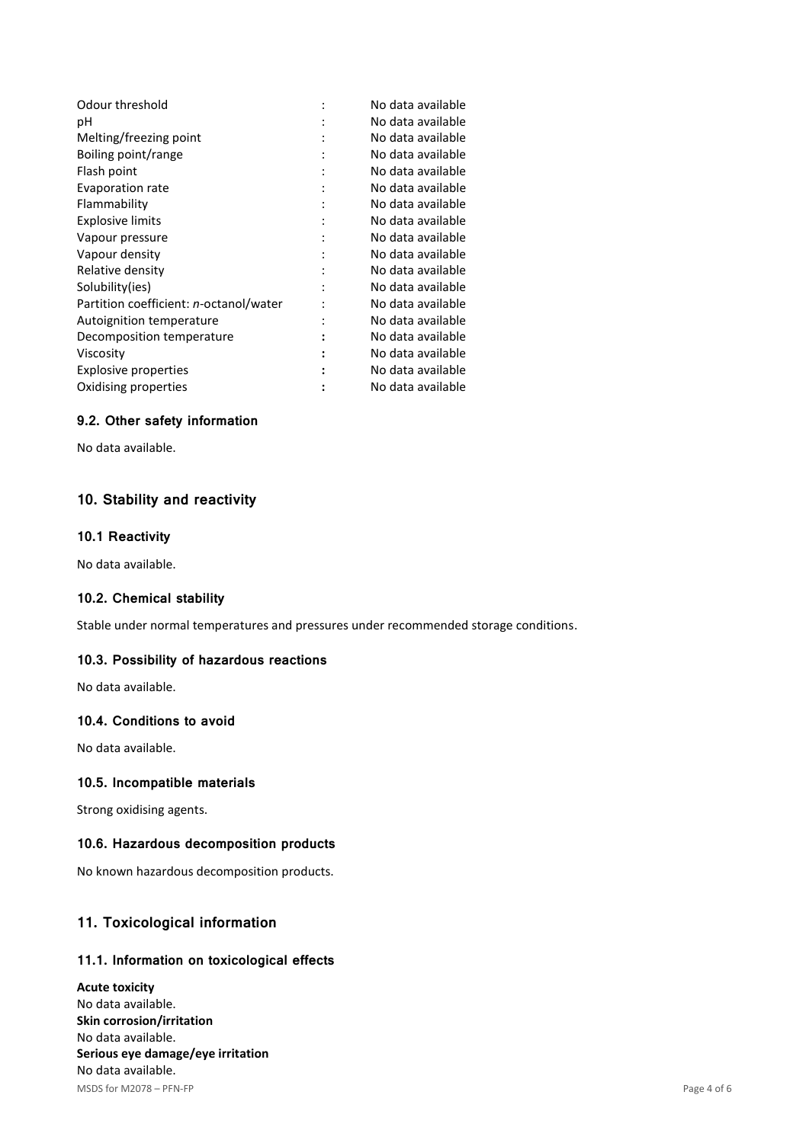| Odour threshold                        |   | No data available |
|----------------------------------------|---|-------------------|
| рH                                     |   | No data available |
| Melting/freezing point                 |   | No data available |
| Boiling point/range                    |   | No data available |
| Flash point                            |   | No data available |
| Evaporation rate                       |   | No data available |
| Flammability                           | ٠ | No data available |
| <b>Explosive limits</b>                |   | No data available |
| Vapour pressure                        |   | No data available |
| Vapour density                         |   | No data available |
| Relative density                       |   | No data available |
| Solubility(ies)                        |   | No data available |
| Partition coefficient: n-octanol/water |   | No data available |
| Autoignition temperature               |   | No data available |
| Decomposition temperature              |   | No data available |
| Viscosity                              |   | No data available |
| Explosive properties                   |   | No data available |
| Oxidising properties                   |   | No data available |
|                                        |   |                   |

## **9.2. Other safety information**

No data available.

# **10. Stability and reactivity**

### **10.1 Reactivity**

No data available.

### **10.2. Chemical stability**

Stable under normal temperatures and pressures under recommended storage conditions.

## **10.3. Possibility of hazardous reactions**

No data available.

### **10.4. Conditions to avoid**

No data available.

### **10.5. Incompatible materials**

Strong oxidising agents.

### **10.6. Hazardous decomposition products**

No known hazardous decomposition products.

# **11. Toxicological information**

# **11.1. Information on toxicological effects**

MSDS for M2078 – PFN-FP Page 4 of 6 **Acute toxicity** No data available. **Skin corrosion/irritation** No data available. **Serious eye damage/eye irritation** No data available.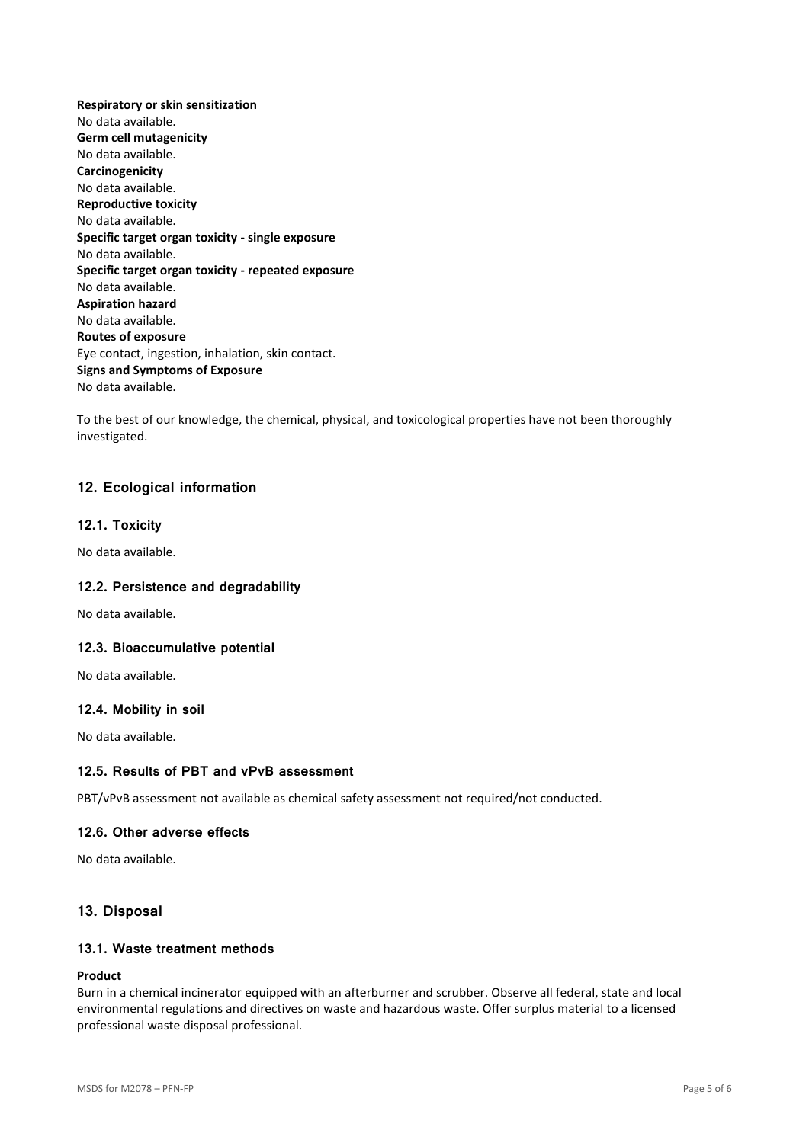**Respiratory or skin sensitization** No data available. **Germ cell mutagenicity** No data available. **Carcinogenicity** No data available. **Reproductive toxicity** No data available. **Specific target organ toxicity - single exposure** No data available. **Specific target organ toxicity - repeated exposure** No data available. **Aspiration hazard** No data available. **Routes of exposure** Eye contact, ingestion, inhalation, skin contact. **Signs and Symptoms of Exposure** No data available.

To the best of our knowledge, the chemical, physical, and toxicological properties have not been thoroughly investigated.

### **12. Ecological information**

#### **12.1. Toxicity**

No data available.

### **12.2. Persistence and degradability**

No data available.

### **12.3. Bioaccumulative potential**

No data available.

#### **12.4. Mobility in soil**

No data available.

### **12.5. Results of PBT and vPvB assessment**

PBT/vPvB assessment not available as chemical safety assessment not required/not conducted.

### **12.6. Other adverse effects**

No data available.

### **13. Disposal**

#### **13.1. Waste treatment methods**

### **Product**

Burn in a chemical incinerator equipped with an afterburner and scrubber. Observe all federal, state and local environmental regulations and directives on waste and hazardous waste. Offer surplus material to a licensed professional waste disposal professional.